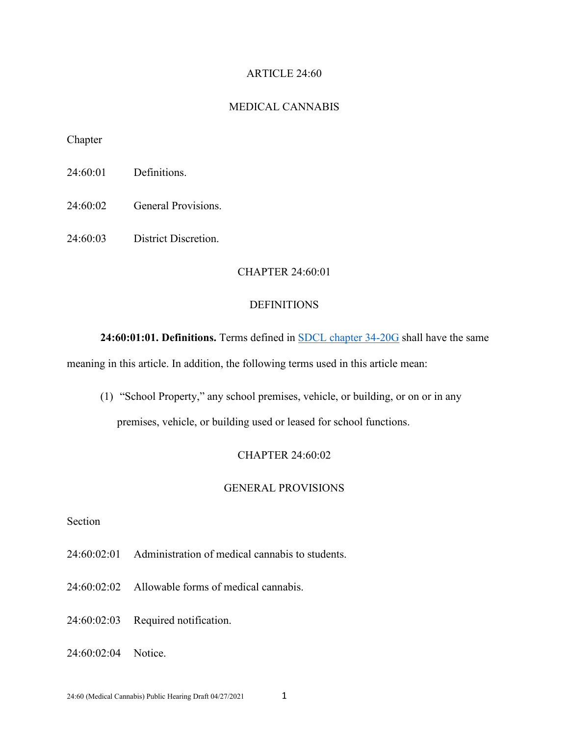## ARTICLE 24:60

## MEDICAL CANNABIS

Chapter

24:60:01 Definitions.

24:60:02 General Provisions.

24:60:03 District Discretion.

# CHAPTER 24:60:01

## **DEFINITIONS**

**24:60:01:01. Definitions.** Terms defined in [SDCL chapter 34-20G](https://sdlegislature.gov/Statutes/Codified_Laws/2078844) shall have the same

meaning in this article. In addition, the following terms used in this article mean:

(1) "School Property," any school premises, vehicle, or building, or on or in any

premises, vehicle, or building used or leased for school functions.

# CHAPTER 24:60:02

### GENERAL PROVISIONS

# Section

- 24:60:02:01 Administration of medical cannabis to students.
- 24:60:02:02 Allowable forms of medical cannabis.

24:60:02:03 Required notification.

24:60:02:04 Notice.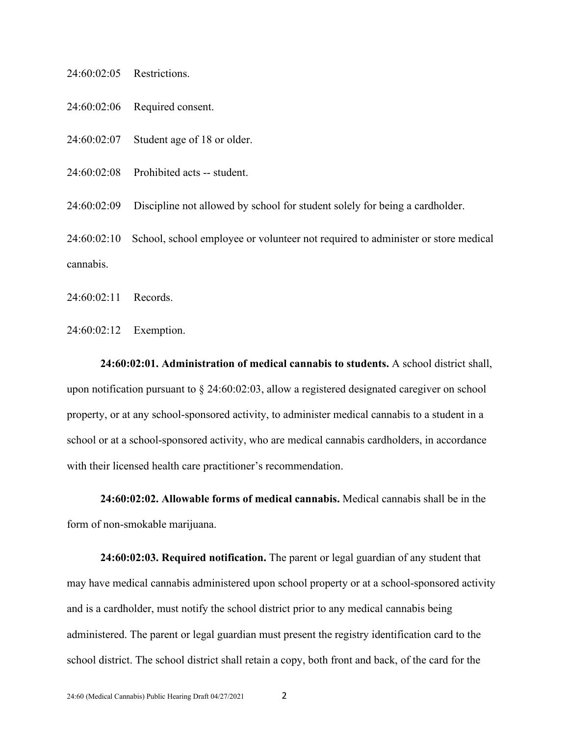| $24:60:02:05$ Restrictions. |                                                                                  |
|-----------------------------|----------------------------------------------------------------------------------|
| 24:60:02:06                 | Required consent.                                                                |
| 24:60:02:07                 | Student age of 18 or older.                                                      |
|                             | $24:60:02:08$ Prohibited acts -- student.                                        |
| 24:60:02:09                 | Discipline not allowed by school for student solely for being a cardholder.      |
| 24:60:02:10                 | School, school employee or volunteer not required to administer or store medical |
| cannabis.                   |                                                                                  |

24:60:02:11 Records.

24:60:02:12 Exemption.

**24:60:02:01. Administration of medical cannabis to students.** A school district shall, upon notification pursuant to § 24:60:02:03, allow a registered designated caregiver on school property, or at any school-sponsored activity, to administer medical cannabis to a student in a school or at a school-sponsored activity, who are medical cannabis cardholders, in accordance with their licensed health care practitioner's recommendation.

**24:60:02:02. Allowable forms of medical cannabis.** Medical cannabis shall be in the form of non-smokable marijuana.

**24:60:02:03. Required notification.** The parent or legal guardian of any student that may have medical cannabis administered upon school property or at a school-sponsored activity and is a cardholder, must notify the school district prior to any medical cannabis being administered. The parent or legal guardian must present the registry identification card to the school district. The school district shall retain a copy, both front and back, of the card for the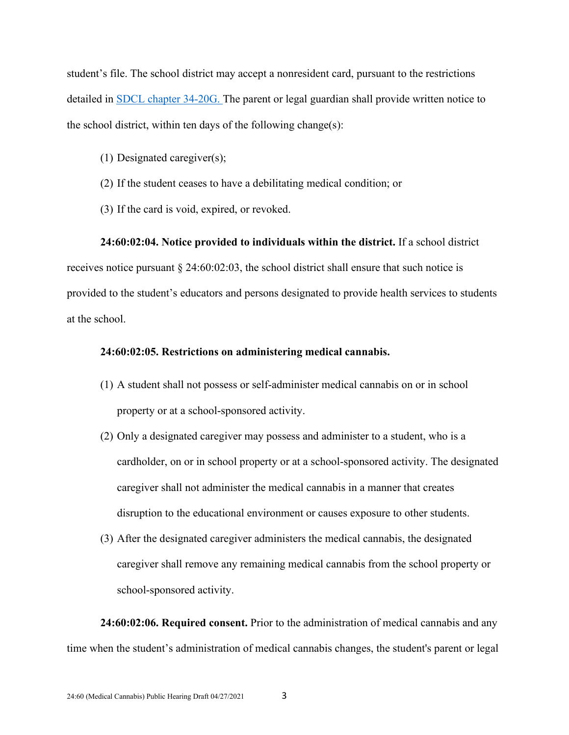student's file. The school district may accept a nonresident card, pursuant to the restrictions detailed in **SDCL** chapter [34-20G.](https://sdlegislature.gov/Statutes/Codified_Laws/2078844) The parent or legal guardian shall provide written notice to the school district, within ten days of the following change(s):

- (1) Designated caregiver(s);
- (2) If the student ceases to have a debilitating medical condition; or
- (3) If the card is void, expired, or revoked.

## **24:60:02:04. Notice provided to individuals within the district.** If a school district

receives notice pursuant  $\S 24:60:02:03$ , the school district shall ensure that such notice is provided to the student's educators and persons designated to provide health services to students at the school.

## **24:60:02:05. Restrictions on administering medical cannabis.**

- (1) A student shall not possess or self-administer medical cannabis on or in school property or at a school-sponsored activity.
- (2) Only a designated caregiver may possess and administer to a student, who is a cardholder, on or in school property or at a school-sponsored activity. The designated caregiver shall not administer the medical cannabis in a manner that creates disruption to the educational environment or causes exposure to other students.
- (3) After the designated caregiver administers the medical cannabis, the designated caregiver shall remove any remaining medical cannabis from the school property or school-sponsored activity.

**24:60:02:06. Required consent.** Prior to the administration of medical cannabis and any time when the student's administration of medical cannabis changes, the student's parent or legal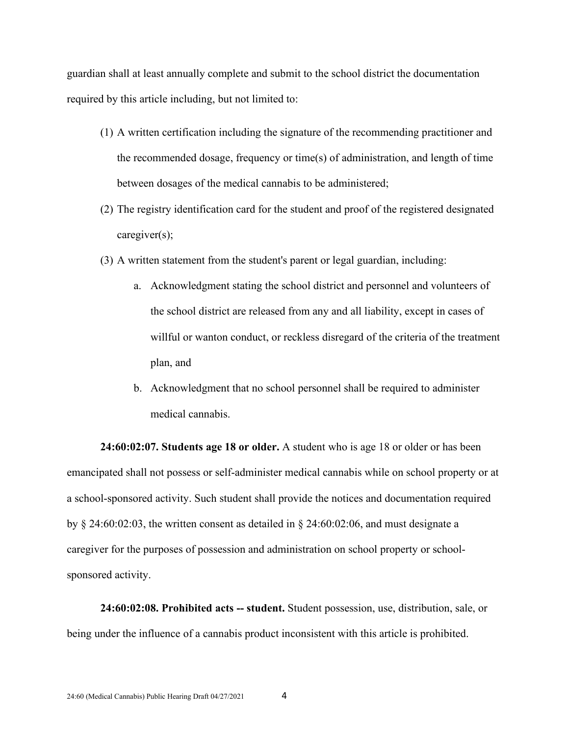guardian shall at least annually complete and submit to the school district the documentation required by this article including, but not limited to:

- (1) A written certification including the signature of the recommending practitioner and the recommended dosage, frequency or time(s) of administration, and length of time between dosages of the medical cannabis to be administered;
- (2) The registry identification card for the student and proof of the registered designated caregiver(s);
- (3) A written statement from the student's parent or legal guardian, including:
	- a. Acknowledgment stating the school district and personnel and volunteers of the school district are released from any and all liability, except in cases of willful or wanton conduct, or reckless disregard of the criteria of the treatment plan, and
	- b. Acknowledgment that no school personnel shall be required to administer medical cannabis.

**24:60:02:07. Students age 18 or older.** A student who is age 18 or older or has been emancipated shall not possess or self-administer medical cannabis while on school property or at a school-sponsored activity. Such student shall provide the notices and documentation required by § 24:60:02:03, the written consent as detailed in § 24:60:02:06, and must designate a caregiver for the purposes of possession and administration on school property or schoolsponsored activity.

**24:60:02:08. Prohibited acts -- student.** Student possession, use, distribution, sale, or being under the influence of a cannabis product inconsistent with this article is prohibited.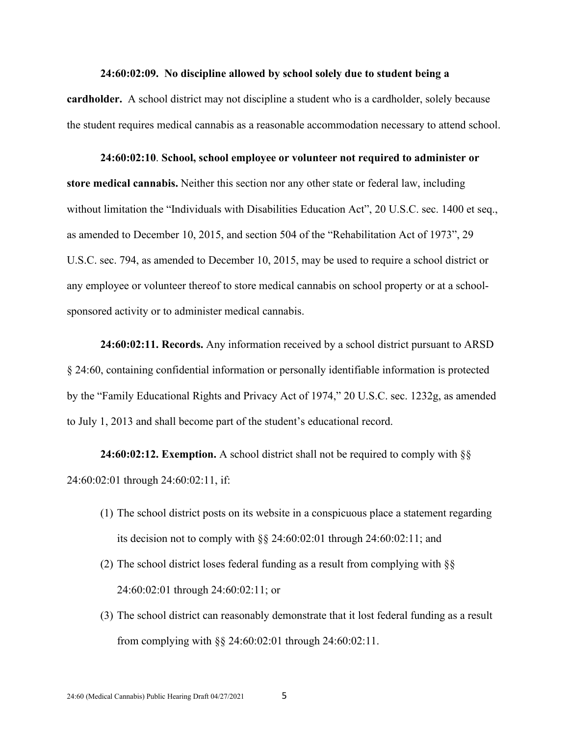#### **24:60:02:09. No discipline allowed by school solely due to student being a**

**cardholder.** A school district may not discipline a student who is a cardholder, solely because the student requires medical cannabis as a reasonable accommodation necessary to attend school.

### **24:60:02:10**. **School, school employee or volunteer not required to administer or**

**store medical cannabis.** Neither this section nor any other state or federal law, including without limitation the "Individuals with Disabilities Education Act", 20 U.S.C. sec. 1400 et seq., as amended to December 10, 2015, and section 504 of the "Rehabilitation Act of 1973", 29 U.S.C. sec. 794, as amended to December 10, 2015, may be used to require a school district or any employee or volunteer thereof to store medical cannabis on school property or at a schoolsponsored activity or to administer medical cannabis.

**24:60:02:11. Records.** Any information received by a school district pursuant to ARSD § 24:60, containing confidential information or personally identifiable information is protected by the "Family Educational Rights and Privacy Act of 1974," 20 U.S.C. sec. 1232g, as amended to July 1, 2013 and shall become part of the student's educational record.

**24:60:02:12. Exemption.** A school district shall not be required to comply with §§ 24:60:02:01 through 24:60:02:11, if:

- (1) The school district posts on its website in a conspicuous place a statement regarding its decision not to comply with §§ 24:60:02:01 through 24:60:02:11; and
- (2) The school district loses federal funding as a result from complying with §§ 24:60:02:01 through 24:60:02:11; or
- (3) The school district can reasonably demonstrate that it lost federal funding as a result from complying with §§ 24:60:02:01 through 24:60:02:11.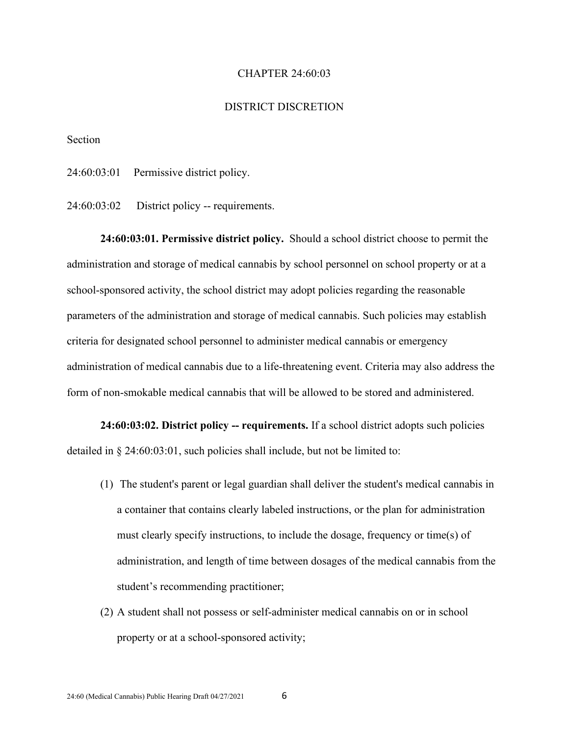## CHAPTER 24:60:03

### DISTRICT DISCRETION

Section

24:60:03:01 Permissive district policy.

24:60:03:02 District policy -- requirements.

**24:60:03:01. Permissive district policy.** Should a school district choose to permit the administration and storage of medical cannabis by school personnel on school property or at a school-sponsored activity, the school district may adopt policies regarding the reasonable parameters of the administration and storage of medical cannabis. Such policies may establish criteria for designated school personnel to administer medical cannabis or emergency administration of medical cannabis due to a life-threatening event. Criteria may also address the form of non-smokable medical cannabis that will be allowed to be stored and administered.

**24:60:03:02. District policy -- requirements.** If a school district adopts such policies detailed in § 24:60:03:01, such policies shall include, but not be limited to:

- (1) The student's parent or legal guardian shall deliver the student's medical cannabis in a container that contains clearly labeled instructions, or the plan for administration must clearly specify instructions, to include the dosage, frequency or time(s) of administration, and length of time between dosages of the medical cannabis from the student's recommending practitioner;
- (2) A student shall not possess or self-administer medical cannabis on or in school property or at a school-sponsored activity;